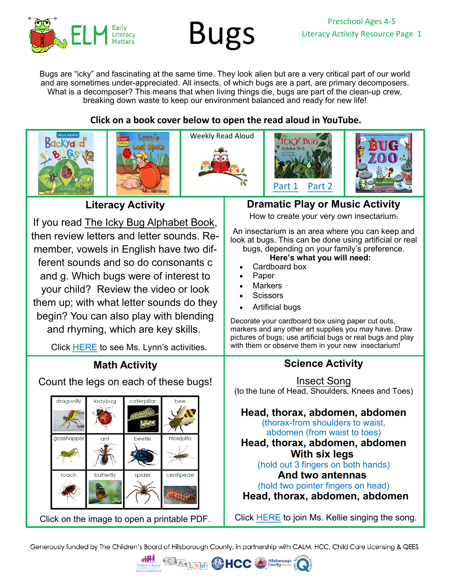

Bugs are "icky" and fascinating at the same time. They look alien but are a very critical part of our world and are sometimes under-appreciated. All insects, of which bugs are a part, are primary decomposers. What is a decomposer? This means that when living things die, bugs are part of the clean-up crew, breaking down waste to keep our environment balanced and ready for new life!

## **Click on a book cover below to open the read aloud in YouTube.**











**Literacy Activity**

If you read [The Icky Bug Alphabet Book](https://youtu.be/B6jIDgsFFDw), then review letters and letter sounds. Remember, vowels in English have two different sounds and so do consonants c and g. Which bugs were of interest to your child? Review the video or look them up; with what letter sounds do they begin? You can also play with blending and rhyming, which are key skills.

Click [HERE](https://youtu.be/VdTGtjwHRCY) to see Ms. Lynn's activities.

# **Math Activity**

Count the legs on each of these bugs!



[Click on the image to open a printable PDF.](https://26d1cb60-a951-4721-b330-1bf8fd66c702.filesusr.com/ugd/6d6c33_c04a6a3493da40d6aac9b64869ae3b84.pdf)

# **Dramatic Play or Music Activity**

How to create your very own insectarium**:**

An insectarium is an area where you can keep and look at bugs. This can be done using artificial or real bugs, depending on your family's preference.

#### **Here's what you will need:**

- Cardboard box
- **Paper**
- **Markers**
- **Scissors**
- Artificial bugs

Decorate your cardboard box using paper cut outs, markers and any other art supplies you may have. Draw pictures of bugs; use artificial bugs or real bugs and play with them or observe them in your new insectarium!

## **Science Activity**

[Insect Song](https://youtu.be/KjQZNyzR8jE) (to the tune of Head, Shoulders, Knees and Toes)

**Head, thorax, abdomen, abdomen** (thorax-from shoulders to waist, abdomen (from waist to toes)

**Head, thorax, abdomen, abdomen With six legs**

(hold out 3 fingers on both hands)

**And two antennas**

(hold two pointer fingers on head)

**Head, thorax, abdomen, abdomen**

Click [HERE](https://youtu.be/KjQZNyzR8jE) to join Ms. Kellie singing the song.

Generously funded by The Children's Board of Hillsborough County, in partnership with CALM, HCC, Child Care Licensing & QEES

**Hillsborougl**<br>County Florid